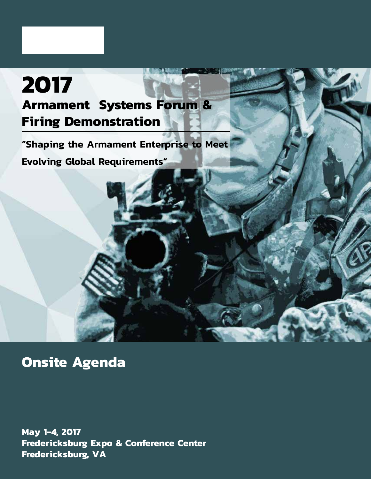# **2017 Armament Systems Forum & Firing Demonstration**

**"Shaping the Armament Enterprise to Meet** 

**Evolving Global Requirements"**

**Onsite Agenda**

**May 1-4, 2017 Fredericksburg Expo & Conference Center Fredericksburg, VA**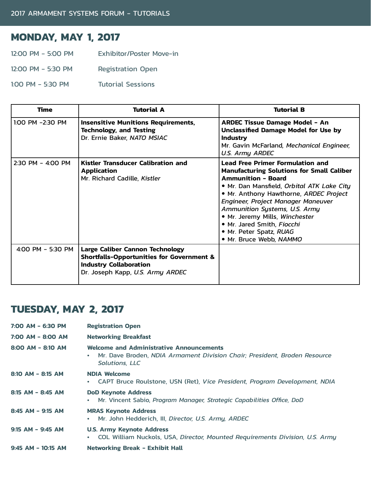## **MONDAY, MAY 1, 2017**

- 12:00 PM 5:00 PM Exhibitor/Poster Move-in
- 12:00 PM 5:30 PM Registration Open
- 1:00 PM 5:30 PM Tutorial Sessions

| <b>Time</b>       | <b>Tutorial A</b>                                                                                                                                            | <b>Tutorial B</b>                                                                                                                                                                                                                                                                                                                                                                                             |
|-------------------|--------------------------------------------------------------------------------------------------------------------------------------------------------------|---------------------------------------------------------------------------------------------------------------------------------------------------------------------------------------------------------------------------------------------------------------------------------------------------------------------------------------------------------------------------------------------------------------|
| 1:00 PM -2:30 PM  | <b>Insensitive Munitions Requirements,</b><br><b>Technology, and Testing</b><br>Dr. Ernie Baker, NATO MSIAC                                                  | <b>ARDEC Tissue Damage Model - An</b><br><b>Unclassified Damage Model for Use by</b><br><b>Industry</b><br>Mr. Gavin McFarland, Mechanical Engineer,<br>U.S. Army ARDEC                                                                                                                                                                                                                                       |
| 2:30 PM - 4:00 PM | Kistler Transducer Calibration and<br><b>Application</b><br>Mr. Richard Cadille, Kistler                                                                     | <b>Lead Free Primer Formulation and</b><br><b>Manufacturing Solutions for Small Caliber</b><br><b>Ammunition - Board</b><br>• Mr. Dan Mansfield, Orbital ATK Lake City<br>• Mr. Anthony Hawthorne, ARDEC Project<br>Engineer, Project Manager Maneuver<br>Ammunition Systems, U.S. Army<br>• Mr. Jeremy Mills, Winchester<br>• Mr. Jared Smith, Fiocchi<br>• Mr. Peter Spatz, RUAG<br>• Mr. Bruce Webb, NAMMO |
| 4:00 PM - 5:30 PM | Large Caliber Cannon Technology<br><b>Shortfalls-Opportunities for Government &amp;</b><br><b>Industry Collaboration</b><br>Dr. Joseph Kapp, U.S. Army ARDEC |                                                                                                                                                                                                                                                                                                                                                                                                               |

## **TUESDAY, MAY 2, 2017**

| 7:00 AM - 6:30 PM     | <b>Registration Open</b>                                                                                                                              |
|-----------------------|-------------------------------------------------------------------------------------------------------------------------------------------------------|
| 7:00 AM - 8:00 AM     | <b>Networking Breakfast</b>                                                                                                                           |
| $8:00$ AM - $8:10$ AM | <b>Welcome and Administrative Announcements</b><br>Mr. Dave Broden, NDIA Armament Division Chair; President, Broden Resource<br><b>Solutions, LLC</b> |
| $8:10$ AM - 8:15 AM   | <b>NDIA Welcome</b><br>CAPT Bruce Roulstone, USN (Ret), Vice President, Program Development, NDIA<br>٠                                                |
| 8:15 AM - 8:45 AM     | <b>DoD Keynote Address</b><br>Mr. Vincent Sabio, Program Manager, Strategic Capabilities Office, DoD                                                  |
| $8:45$ AM - 9:15 AM   | <b>MRAS Keynote Address</b><br>Mr. John Hedderich, III, Director, U.S. Army, ARDEC<br>٠                                                               |
| $9:15$ AM - $9:45$ AM | <b>U.S. Army Keynote Address</b><br>COL William Nuckols, USA, Director, Mounted Requirements Division, U.S. Army<br>٠                                 |
| $9:45$ AM - 10:15 AM  | <b>Networking Break - Exhibit Hall</b>                                                                                                                |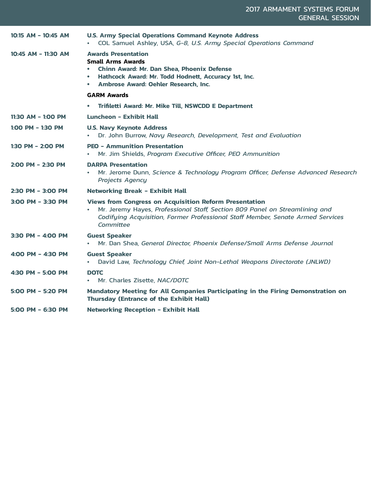| 10:15 AM - 10:45 AM | <b>U.S. Army Special Operations Command Keynote Address</b><br>COL Samuel Ashley, USA, G-8, U.S. Army Special Operations Command                                                                                                            |
|---------------------|---------------------------------------------------------------------------------------------------------------------------------------------------------------------------------------------------------------------------------------------|
| 10:45 AM - 11:30 AM | <b>Awards Presentation</b><br><b>Small Arms Awards</b><br><b>Chinn Award: Mr. Dan Shea, Phoenix Defense</b><br>Hathcock Award: Mr. Todd Hodnett, Accuracy 1st, Inc.<br>$\bullet$<br>Ambrose Award: Oehler Research, Inc.                    |
|                     | <b>GARM Awards</b>                                                                                                                                                                                                                          |
|                     | Trifiletti Award: Mr. Mike Till, NSWCDD E Department                                                                                                                                                                                        |
| 11:30 AM - 1:00 PM  | Luncheon - Exhibit Hall                                                                                                                                                                                                                     |
| 1:00 PM - 1:30 PM   | <b>U.S. Navy Keynote Address</b><br>Dr. John Burrow, Navy Research, Development, Test and Evaluation                                                                                                                                        |
| 1:30 PM - 2:00 PM   | <b>PEO - Ammunition Presentation</b><br>Mr. Jim Shields, Program Executive Officer, PEO Ammunition<br>$\bullet$                                                                                                                             |
| 2:00 PM - 2:30 PM   | <b>DARPA Presentation</b><br>Mr. Jerome Dunn, Science & Technology Program Officer, Defense Advanced Research<br><b>Projects Agency</b>                                                                                                     |
| 2:30 PM - 3:00 PM   | <b>Networking Break - Exhibit Hall</b>                                                                                                                                                                                                      |
| 3:00 PM - 3:30 PM   | <b>Views from Congress on Acquisition Reform Presentation</b><br>Mr. Jeremy Hayes, Professional Staff, Section 809 Panel on Streamlining and<br>Codifying Acquisition, Former Professional Staff Member, Senate Armed Services<br>Committee |
| 3:30 PM - 4:00 PM   | <b>Guest Speaker</b><br>Mr. Dan Shea, General Director, Phoenix Defense/Small Arms Defense Journal<br>$\bullet$                                                                                                                             |
| 4:00 PM - 4:30 PM   | <b>Guest Speaker</b><br>David Law, Technology Chief, Joint Non-Lethal Weapons Directorate (JNLWD)                                                                                                                                           |
| 4:30 PM - 5:00 PM   | <b>DOTC</b><br>Mr. Charles Zisette, NAC/DOTC                                                                                                                                                                                                |
| 5:00 PM - 5:20 PM   | Mandatory Meeting for All Companies Participating in the Firing Demonstration on<br><b>Thursday (Entrance of the Exhibit Hall)</b>                                                                                                          |
| 5:00 PM - 6:30 PM   | <b>Networking Reception - Exhibit Hall</b>                                                                                                                                                                                                  |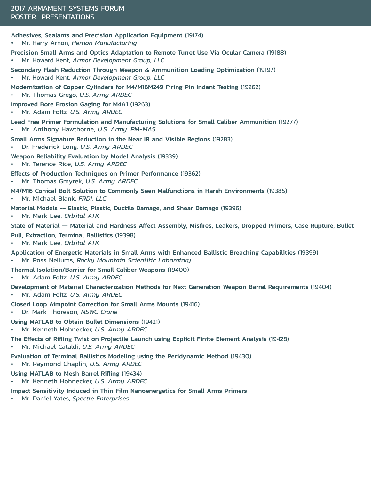#### Adhesives, Sealants and Precision Application Equipment (19174)

- Mr. Harry Arnon, *Hernon Manufacturing*
- Precision Small Arms and Optics Adaptation to Remote Turret Use Via Ocular Camera (19188) • Mr. Howard Kent, *Armor Development Group, LLC*
- Secondary Flash Reduction Through Weapon & Ammunition Loading Optimization (19197) • Mr. Howard Kent, *Armor Development Group, LLC*
- Modernization of Copper Cylinders for M4/M16M249 Firing Pin Indent Testing (19262)
- Mr. Thomas Grego, *U.S. Army ARDEC*

Improved Bore Erosion Gaging for M4A1 (19263)

- Mr. Adam Foltz, *U.S. Army ARDEC*
- Lead Free Primer Formulation and Manufacturing Solutions for Small Caliber Ammunition (19277) • Mr. Anthony Hawthorne, *U.S. Army, PM-MAS*
- Small Arms Signature Reduction in the Near IR and Visible Regions (19283)
- Dr. Frederick Long, *U.S. Army ARDEC*
- Weapon Reliability Evaluation by Model Analysis (19339)
- Mr. Terence Rice, *U.S. Army ARDEC*
- Effects of Production Techniques on Primer Performance (19362)
- Mr. Thomas Gmyrek, *U.S. Army ARDEC*
- M4/M16 Conical Bolt Solution to Commonly Seen Malfunctions in Harsh Environments (19385)
- Mr. Michael Blank, *FRDI, LLC*
- Material Models -- Elastic, Plastic, Ductile Damage, and Shear Damage (19396)
- Mr. Mark Lee, *Orbital ATK*
- State of Material -- Material and Hardness Affect Assembly, Misfires, Leakers, Dropped Primers, Case Rupture, Bullet
- Pull, Extraction, Terminal Ballistics (19398)
- Mr. Mark Lee, *Orbital ATK*
- Application of Energetic Materials in Small Arms with Enhanced Ballistic Breaching Capabilities (19399)
- Mr. Ross Nellums, *Rocky Mountain Scientific Laboratory*
- Thermal Isolation/Barrier for Small Caliber Weapons (19400)
- Mr. Adam Foltz, *U.S. Army ARDEC*
- Development of Material Characterization Methods for Next Generation Weapon Barrel Requirements (19404)
- Mr. Adam Foltz, *U.S. Army ARDEC*
- Closed Loop Aimpoint Correction for Small Arms Mounts (19416)
- Dr. Mark Thoreson, *NSWC Crane*
- Using MATLAB to Obtain Bullet Dimensions (19421)
- Mr. Kenneth Hohnecker, *U.S. Army ARDEC*
- The Effects of Rifling Twist on Projectile Launch using Explicit Finite Element Analysis (19428)
- Mr. Michael Cataldi, *U.S. Army ARDEC*
- Evaluation of Terminal Ballistics Modeling using the Peridynamic Method (19430)
- Mr. Raymond Chaplin, *U.S. Army ARDEC*

### Using MATLAB to Mesh Barrel Rifling (19434)

- Mr. Kenneth Hohnecker, *U.S. Army ARDEC*
- Impact Sensitivity Induced in Thin Film Nanoenergetics for Small Arms Primers
- Mr. Daniel Yates, *Spectre Enterprises*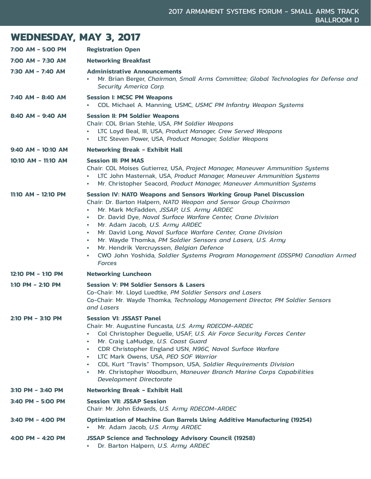## **WEDNESDAY, MAY 3, 2017**

| 7:00 AM - 5:00 PM    | <b>Registration Open</b>                                                                                                                                                                                                                                                                                                                                                                                                                                                                                                                                                                                                        |
|----------------------|---------------------------------------------------------------------------------------------------------------------------------------------------------------------------------------------------------------------------------------------------------------------------------------------------------------------------------------------------------------------------------------------------------------------------------------------------------------------------------------------------------------------------------------------------------------------------------------------------------------------------------|
| 7:00 AM - 7:30 AM    | <b>Networking Breakfast</b>                                                                                                                                                                                                                                                                                                                                                                                                                                                                                                                                                                                                     |
| 7:30 AM - 7:40 AM    | <b>Administrative Announcements</b><br>Mr. Brian Berger, Chairman, Small Arms Committee; Global Technologies for Defense and<br><b>Security America Corp.</b>                                                                                                                                                                                                                                                                                                                                                                                                                                                                   |
| 7:40 AM - 8:40 AM    | <b>Session I: MCSC PM Weapons</b><br>COL Michael A. Manning, USMC, USMC PM Infantry Weapon Systems                                                                                                                                                                                                                                                                                                                                                                                                                                                                                                                              |
| 8:40 AM - 9:40 AM    | <b>Session II: PM Soldier Weapons</b><br>Chair: COL Brian Stehle, USA, PM Soldier Weapons<br>LTC Loyd Beal, III, USA, Product Manager, Crew Served Weapons<br>LTC Steven Power, USA, Product Manager, Soldier Weapons<br>$\bullet$                                                                                                                                                                                                                                                                                                                                                                                              |
| $9:40$ AM – 10:10 AM | <b>Networking Break - Exhibit Hall</b>                                                                                                                                                                                                                                                                                                                                                                                                                                                                                                                                                                                          |
| 10:10 AM - 11:10 AM  | <b>Session III: PM MAS</b><br>Chair: COL Moises Gutierrez, USA, Project Manager, Maneuver Ammunition Systems<br>LTC John Masternak, USA, Product Manager, Maneuver Ammunition Systems<br>Mr. Christopher Seacord, Product Manager, Maneuver Ammunition Systems                                                                                                                                                                                                                                                                                                                                                                  |
| 11:10 AM - 12:10 PM  | Session IV: NATO Weapons and Sensors Working Group Panel Discussion<br>Chair: Dr. Barton Halpern, NATO Weapon and Sensor Group Chairman<br>Mr. Mark McFadden, JSSAP, U.S. Army ARDEC<br>Dr. David Dye, Naval Surface Warfare Center, Crane Division<br>$\bullet$<br>Mr. Adam Jacob, U.S. Army ARDEC<br>$\bullet$<br>Mr. David Long, Naval Surface Warfare Center, Crane Division<br>$\bullet$<br>Mr. Wayde Thomka, PM Soldier Sensors and Lasers, U.S. Army<br>$\bullet$<br>Mr. Hendrik Vercruyssen, Belgian Defence<br>$\bullet$<br>CWO John Yoshida, Soldier Systems Program Management (DSSPM) Canadian Armed<br>٠<br>Forces |
| 12:10 PM - 1:10 PM   | <b>Networking Luncheon</b>                                                                                                                                                                                                                                                                                                                                                                                                                                                                                                                                                                                                      |
| 1:10 PM - 2:10 PM    | <b>Session V: PM Soldier Sensors &amp; Lasers</b><br>Co-Chair: Mr. Lloyd Luedtke, PM Soldier Sensors and Lasers<br>Co-Chair: Mr. Wayde Thomka, Technology Management Director, PM Soldier Sensors<br>and Lasers                                                                                                                                                                                                                                                                                                                                                                                                                 |
| 2:10 PM - 3:10 PM    | <b>Session VI: JSSAST Panel</b><br>Chair: Mr. Augustine Funcasta, U.S. Army RDECOM-ARDEC<br>Col Christopher Deguelle, USAF, U.S. Air Force Security Forces Center<br>$\bullet$<br>Mr. Craig LaMudge, U.S. Coast Guard<br>$\bullet$<br>CDR Christopher England USN, N96C, Naval Surface Warfare<br>$\bullet$<br>LTC Mark Owens, USA, PEO SOF Warrior<br>$\bullet$<br>COL Kurt "Travis" Thompson, USA, Soldier Requirements Division<br>$\bullet$<br>Mr. Christopher Woodburn, Maneuver Branch Marine Corps Capabilities<br>٠<br><b>Development Directorate</b>                                                                   |
| 3:10 PM - 3:40 PM    | <b>Networking Break - Exhibit Hall</b>                                                                                                                                                                                                                                                                                                                                                                                                                                                                                                                                                                                          |
| 3:40 PM - 5:00 PM    | <b>Session VII: JSSAP Session</b><br>Chair: Mr. John Edwards, U.S. Army RDECOM-ARDEC                                                                                                                                                                                                                                                                                                                                                                                                                                                                                                                                            |
| 3:40 PM - 4:00 PM    | <b>Optimization of Machine Gun Barrels Using Additive Manufacturing (19254)</b><br>Mr. Adam Jacob, U.S. Army ARDEC                                                                                                                                                                                                                                                                                                                                                                                                                                                                                                              |
| 4:00 PM - 4:20 PM    | <b>JSSAP Science and Technology Advisory Council (19258)</b><br>Dr. Barton Halpern, U.S. Army ARDEC<br>٠                                                                                                                                                                                                                                                                                                                                                                                                                                                                                                                        |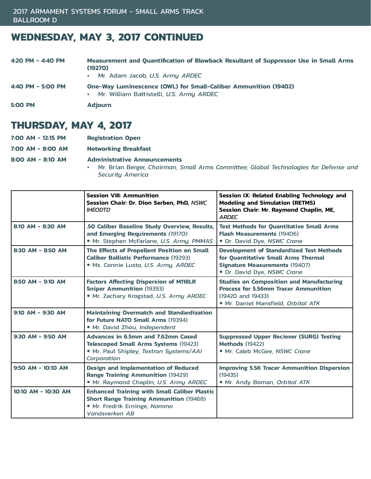## **WEDNESDAY, MAY 3, 2017 CONTINUED**

| 4:20 PM - 4:40 PM | Measurement and Quantification of Blowback Resultant of Suppressor Use in Small Arms<br>(19270)<br>• Mr. Adam Jacob, U.S. Army ARDEC |
|-------------------|--------------------------------------------------------------------------------------------------------------------------------------|
| 4:40 PM - 5:00 PM | <b>One-Way Luminescence (OWL) for Small-Caliber Ammunition (19402)</b><br>• Mr. William Battistelli, U.S. Army ARDEC                 |
| <b>5:00 PM</b>    | <b>Adiourn</b>                                                                                                                       |

## **THURSDAY, MAY 4, 2017**

|  | 7:00 AM - 12:15 PM |  |  | <b>Registration Open</b> |  |
|--|--------------------|--|--|--------------------------|--|
|--|--------------------|--|--|--------------------------|--|

**7:00 AM - 8:00 AM Networking Breakfast** 

**8:00 AM - 8:10 AM Administrative Announcements** 

• Mr. Brian Berger, *Chairman, Small Arms Committee; Global Technologies for Defense and Security America* 

|                       | <b>Session VIII: Ammunition</b><br>Session Chair: Dr. Dion Serben, PhD, NSWC<br><b>IHEODTD</b>                                                          | Session IX: Related Enabling Technology and<br><b>Modeling and Simulation (RETMS)</b><br>Session Chair: Mr. Raymond Chaplin, ME,<br><b>ARDEC</b>               |
|-----------------------|---------------------------------------------------------------------------------------------------------------------------------------------------------|----------------------------------------------------------------------------------------------------------------------------------------------------------------|
| 8:10 AM - 8:30 AM     | .50 Caliber Baseline Study Overview, Results,<br>and Emerging Requirements (19170)<br>· Mr. Stephen McFarlane, U.S. Army, PMMAS                         | <b>Test Methods for Quantitative Small Arms</b><br><b>Flash Measurements (19406)</b><br>• Dr. David Dye, NSWC Crane                                            |
| 8:30 AM - 8:50 AM     | The Effects of Propellent Position on Small<br><b>Caliber Ballistic Performance (19293)</b><br>• Ms. Connie Lusto, U.S. Army, ARDEC                     | <b>Development of Standardized Test Methods</b><br>for Quantitative Small Arms Thermal<br><b>Signature Measurements (19407)</b><br>· Dr. David Dye, NSWC Crane |
| 8:50 AM - 9:10 AM     | <b>Factors Affecting Dispersion of M118LR</b><br><b>Sniper Ammunition (19393)</b><br>· Mr. Zachary Krogstad, U.S. Army ARDEC                            | <b>Studies on Composition and Manufacturing</b><br><b>Process for 5.56mm Tracer Ammunition</b><br>(19420 and 19433)<br>• Mr. Daniel Mansfield, Orbital ATK     |
| $9:10$ AM - $9:30$ AM | <b>Maintaining Overmatch and Standardization</b><br>for Future NATO Small Arms (19394)<br>• Mr. David Zhou, Independent                                 |                                                                                                                                                                |
| 9:30 AM - 9:50 AM     | Advances in 6.5mm and 7.62mm Cased<br><b>Telescoped Small Arms Systems (19423)</b><br>· Mr. Paul Shipley, Textron Systems/AAI<br>Corporation            | <b>Suppressed Upper Reciever (SURG) Testing</b><br><b>Methods (19422)</b><br>· Mr. Caleb McGee, NSWC Crane                                                     |
| 9:50 AM - 10:10 AM    | <b>Design and Implementation of Reduced</b><br><b>Range Training Ammunition (19429)</b><br>• Mr. Raymond Chaplin, U.S. Army ARDEC                       | <b>Improving 5.56 Tracer Ammunition Dispersion</b><br>(19435)<br>. Mr. Andy Boman, Orbital ATK                                                                 |
| 10:10 AM - 10:30 AM   | <b>Enhanced Training with Small Caliber Plastic</b><br><b>Short Range Training Ammunition (19468)</b><br>• Mr. Fredrik Erninge, Nammo<br>Vanäsverken AB |                                                                                                                                                                |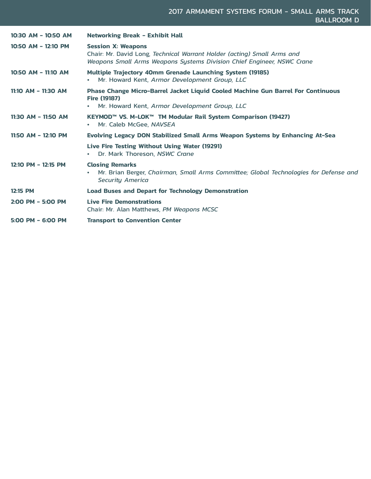| 10:30 AM - 10:50 AM | <b>Networking Break - Exhibit Hall</b>                                                                                                                                         |
|---------------------|--------------------------------------------------------------------------------------------------------------------------------------------------------------------------------|
| 10:50 AM - 12:10 PM | <b>Session X: Weapons</b><br>Chair: Mr. David Long, Technical Warrant Holder (acting) Small Arms and<br>Weapons Small Arms Weapons Systems Division Chief Engineer, NSWC Crane |
| 10:50 AM - 11:10 AM | <b>Multiple Trajectory 40mm Grenade Launching System (19185)</b><br>Mr. Howard Kent, Armor Development Group, LLC                                                              |
| 11:10 AM - 11:30 AM | Phase Change Micro-Barrel Jacket Liquid Cooled Machine Gun Barrel For Continuous<br><b>Fire (19187)</b><br>Mr. Howard Kent, Armor Development Group, LLC                       |
| 11:30 AM - 11:50 AM | KEYMOD™ VS. M-LOK™ TM Modular Rail System Comparison (19427)<br>Mr. Caleb McGee, NAVSEA                                                                                        |
| 11:50 AM - 12:10 PM | Evolving Legacy DON Stabilized Small Arms Weapon Systems by Enhancing At-Sea                                                                                                   |
|                     | Live Fire Testing Without Using Water (19291)<br>Dr. Mark Thoreson, NSWC Crane                                                                                                 |
| 12:10 PM - 12:15 PM | <b>Closing Remarks</b><br>Mr. Brian Berger, Chairman, Small Arms Committee; Global Technologies for Defense and<br>٠<br><b>Security America</b>                                |
| 12:15 PM            | <b>Load Buses and Depart for Technology Demonstration</b>                                                                                                                      |
| 2:00 PM - 5:00 PM   | <b>Live Fire Demonstrations</b><br>Chair: Mr. Alan Matthews, PM Weapons MCSC                                                                                                   |
| $5:00$ PM - 6:00 PM | <b>Transport to Convention Center</b>                                                                                                                                          |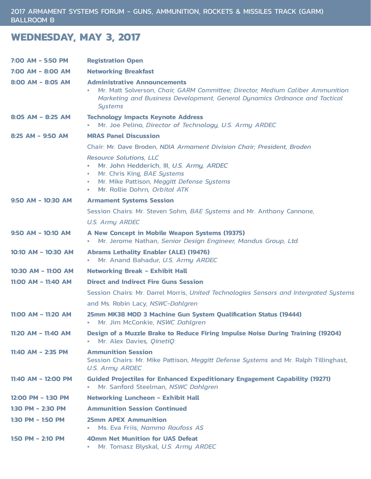## **WEDNESDAY, MAY 3, 2017**

| 7:00 AM - 5:50 PM    | <b>Registration Open</b>                                                                                                                                                                                              |
|----------------------|-----------------------------------------------------------------------------------------------------------------------------------------------------------------------------------------------------------------------|
| 7:00 AM - 8:00 AM    | <b>Networking Breakfast</b>                                                                                                                                                                                           |
| 8:00 AM - 8:05 AM    | <b>Administrative Announcements</b><br>Mr. Matt Solverson, Chair, GARM Committee; Director, Medium Caliber Ammunition<br>Marketing and Business Development, General Dynamics Ordnance and Tactical<br><b>Systems</b> |
| 8:05 AM - 8:25 AM    | <b>Technology Impacts Keynote Address</b><br>. Mr. Joe Pelino, Director of Technology, U.S. Army ARDEC                                                                                                                |
| 8:25 AM - 9:50 AM    | <b>MRAS Panel Discussion</b>                                                                                                                                                                                          |
|                      | Chair: Mr. Dave Broden, NDIA Armament Division Chair; President, Broden                                                                                                                                               |
|                      | <b>Resource Solutions, LLC</b><br>Mr. John Hedderich, III, U.S. Army, ARDEC<br>• Mr. Chris King, BAE Systems<br>Mr. Mike Pattison, Meggitt Defense Systems<br>$\bullet$<br>• Mr. Rollie Dohrn, Orbital ATK            |
| $9:50$ AM - 10:30 AM | <b>Armament Systems Session</b>                                                                                                                                                                                       |
|                      | Session Chairs: Mr. Steven Sohm, BAE Systems and Mr. Anthony Cannone,                                                                                                                                                 |
|                      | <b>U.S. Army ARDEC</b>                                                                                                                                                                                                |
| 9:50 AM - 10:10 AM   | A New Concept in Mobile Weapon Systems (19375)<br>• Mr. Jerome Nathan, Senior Design Engineer, Mandus Group, Ltd.                                                                                                     |
| 10:10 AM - 10:30 AM  | <b>Abrams Lethality Enabler (ALE) (19476)</b><br>Mr. Anand Bahadur, U.S. Army ARDEC<br>$\bullet$                                                                                                                      |
| 10:30 AM - 11:00 AM  | <b>Networking Break - Exhibit Hall</b>                                                                                                                                                                                |
| 11:00 AM - 11:40 AM  | <b>Direct and Indirect Fire Guns Session</b>                                                                                                                                                                          |
|                      | Session Chairs: Mr. Darrel Morris, United Technologies Sensors and Intergrated Systems                                                                                                                                |
|                      | and Ms. Robin Lacy, NSWC-Dahlgren                                                                                                                                                                                     |
| 11:00 AM - 11:20 AM  | 25mm MK38 MOD 3 Machine Gun System Qualification Status (19444)<br>• Mr. Jim McConkie, NSWC Dahlgren                                                                                                                  |
| 11:20 AM - 11:40 AM  | Design of a Muzzle Brake to Reduce Firing Impulse Noise During Training (19204)<br>Mr. Alex Davies, OinetiO<br>$\bullet$                                                                                              |
| 11:40 AM - 2:35 PM   | <b>Ammunition Session</b><br>Session Chairs: Mr. Mike Pattison, Meggitt Defense Systems and Mr. Ralph Tillinghast,<br><b>U.S. Army ARDEC</b>                                                                          |
| 11:40 AM - 12:00 PM  | <b>Guided Projectiles for Enhanced Expeditionary Engagement Capability (19271)</b><br>Mr. Sanford Steelman, NSWC Dahlgren<br>$\bullet$                                                                                |
| 12:00 PM - 1:30 PM   | <b>Networking Luncheon - Exhibit Hall</b>                                                                                                                                                                             |
| 1:30 PM $-$ 2:30 PM  | <b>Ammunition Session Continued</b>                                                                                                                                                                                   |
| 1:30 PM - 1:50 PM    | <b>25mm APEX Ammunition</b><br>Ms. Eva Friis, Nammo Raufoss AS<br>$\bullet$                                                                                                                                           |
| 1:50 PM - 2:10 PM    | <b>40mm Net Munition for UAS Defeat</b><br>Mr. Tomasz Blyskal, U.S. Army ARDEC<br>$\bullet$                                                                                                                           |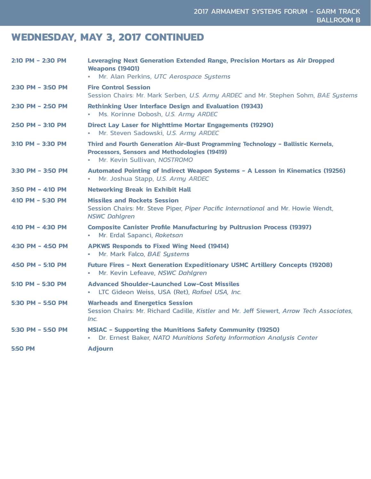## **WEDNESDAY, MAY 3, 2017 CONTINUED**

| 2:10 PM - 2:30 PM   | <b>Leveraging Next Generation Extended Range, Precision Mortars as Air Dropped</b><br><b>Weapons (19401)</b><br>Mr. Alan Perkins, UTC Aerospace Systems                               |
|---------------------|---------------------------------------------------------------------------------------------------------------------------------------------------------------------------------------|
| 2:30 PM - 3:50 PM   | <b>Fire Control Session</b><br>Session Chairs: Mr. Mark Serben, U.S. Army ARDEC and Mr. Stephen Sohm, BAE Systems                                                                     |
| 2:30 PM - 2:50 PM   | <b>Rethinking User Interface Design and Evaluation (19343)</b><br>Ms. Korinne Dobosh, U.S. Army ARDEC<br>$\bullet$                                                                    |
| $2:50$ PM - 3:10 PM | <b>Direct Lay Laser for Nighttime Mortar Engagements (19290)</b><br>Mr. Steven Sadowski, U.S. Army ARDEC<br>$\bullet$                                                                 |
| $3:10$ PM – 3:30 PM | Third and Fourth Generation Air-Bust Programming Technology - Ballistic Kernels,<br><b>Processors, Sensors and Methodologies (19419)</b><br>Mr. Kevin Sullivan, NOSTROMO<br>$\bullet$ |
| 3:30 PM - 3:50 PM   | Automated Pointing of Indirect Weapon Systems - A Lesson in Kinematics (19256)<br>Mr. Joshua Stapp, U.S. Army ARDEC<br>$\bullet$                                                      |
| $3:50$ PM – 4:10 PM | <b>Networking Break in Exhibit Hall</b>                                                                                                                                               |
| 4:10 PM - 5:30 PM   | <b>Missiles and Rockets Session</b><br>Session Chairs: Mr. Steve Piper, Piper Pacific International and Mr. Howie Wendt,<br><b>NSWC Dahlgren</b>                                      |
| 4:10 PM - 4:30 PM   | <b>Composite Canister Profile Manufacturing by Pultrusion Process (19397)</b><br>Mr. Erdal Sapanci, Roketsan                                                                          |
| 4:30 PM - 4:50 PM   | <b>APKWS Responds to Fixed Wing Need (19414)</b><br>Mr. Mark Falco, BAE Systems<br>$\bullet$                                                                                          |
| 4:50 PM - 5:10 PM   | Future Fires - Next Generation Expeditionary USMC Artillery Concepts (19208)<br>Mr. Kevin Lefeave, NSWC Dahlgren<br>$\bullet$                                                         |
| 5:10 PM - 5:30 PM   | <b>Advanced Shoulder-Launched Low-Cost Missiles</b><br>LTC Gideon Weiss, USA (Ret), Rafael USA, Inc.<br>$\bullet$                                                                     |
| 5:30 PM - 5:50 PM   | <b>Warheads and Energetics Session</b><br>Session Chairs: Mr. Richard Cadille, Kistler and Mr. Jeff Siewert, Arrow Tech Associates,<br>Inc.                                           |
| 5:30 PM - 5:50 PM   | <b>MSIAC - Supporting the Munitions Safety Community (19250)</b><br>Dr. Ernest Baker, NATO Munitions Safety Information Analysis Center<br>$\bullet$                                  |
| <b>5:50 PM</b>      | <b>Adjourn</b>                                                                                                                                                                        |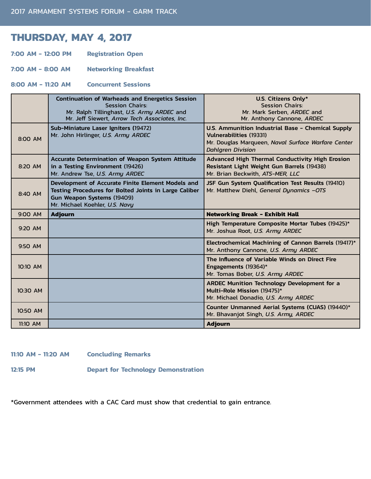## **THURSDAY, MAY 4, 2017**

**7:00 AM - 12:00 PM Registration Open** 

**7:00 AM - 8:00 AM Networking Breakfast** 

**8:00 AM - 11:20 AM Concurrent Sessions** 

|           | <b>Continuation of Warheads and Energetics Session</b><br><b>Session Chairs:</b><br>Mr. Ralph Tillinghast, U.S. Army ARDEC and<br>Mr. Jeff Siewert, Arrow Tech Associates, Inc. | U.S. Citizens Only*<br><b>Session Chairs:</b><br>Mr. Mark Serben, ARDEC and<br>Mr. Anthony Cannone, ARDEC                                                             |
|-----------|---------------------------------------------------------------------------------------------------------------------------------------------------------------------------------|-----------------------------------------------------------------------------------------------------------------------------------------------------------------------|
| 8:00 AM   | Sub-Miniature Laser Igniters (19472)<br>Mr. John Hirlinger, U.S. Army ARDEC                                                                                                     | U.S. Ammunition Industrial Base - Chemical Supply<br><b>Vulnerabilities (19331)</b><br>Mr. Douglas Marqueen, Naval Surface Warfare Center<br><b>Dahlgren Division</b> |
| 8:20 AM   | Accurate Determination of Weapon System Attitude<br>in a Testing Environment (19426)<br>Mr. Andrew Tse, U.S. Army ARDEC                                                         | Advanced High Thermal Conductivity High Erosion<br>Resistant Light Weight Gun Barrels (19438)<br>Mr. Brian Beckwith, ATS-MER, LLC                                     |
| 8:40 AM   | Development of Accurate Finite Element Models and<br>Testing Procedures for Bolted Joints in Large Caliber<br>Gun Weapon Systems (19409)<br>Mr. Michael Koehler, U.S. Navy      | JSF Gun System Qualification Test Results (19410)<br>Mr. Matthew Diehl, General Dynamics -OTS                                                                         |
|           |                                                                                                                                                                                 |                                                                                                                                                                       |
| 9:00 AM   | <b>Adjourn</b>                                                                                                                                                                  | <b>Networking Break - Exhibit Hall</b>                                                                                                                                |
| $9:20$ AM |                                                                                                                                                                                 | High Temperature Composite Mortar Tubes (19425)*<br>Mr. Joshua Root, U.S. Army ARDEC                                                                                  |
| 9:50 AM   |                                                                                                                                                                                 | Electrochemical Machining of Cannon Barrels (19417)*<br>Mr. Anthony Cannone, U.S. Army ARDEC                                                                          |
| 10:10 AM  |                                                                                                                                                                                 | The Influence of Variable Winds on Direct Fire<br>Engagements (19364)*<br>Mr. Tomas Bober, U.S. Army ARDEC                                                            |
| 10:30 AM  |                                                                                                                                                                                 | <b>ARDEC Munition Technology Development for a</b><br>Multi-Role Mission (19475)*<br>Mr. Michael Donadio, U.S. Army ARDEC                                             |
| 10:50 AM  |                                                                                                                                                                                 | Counter Unmanned Aerial Systems (CUAS) (19440)*<br>Mr. Bhavanjot Singh, U.S. Army, ARDEC                                                                              |

#### **11:10 AM - 11:20 AM Concluding Remarks**

**12:15 PM Depart for Technology Demonstration** 

\*Government attendees with a CAC Card must show that credential to gain entrance.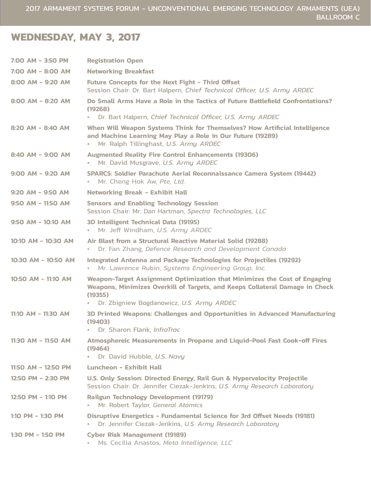## **WEDNESDAY, MAY 3, 2017**

| 7:00 AM - 3:50 PM     | <b>Registration Open</b>                                                                                                                                                                                                       |
|-----------------------|--------------------------------------------------------------------------------------------------------------------------------------------------------------------------------------------------------------------------------|
| 7:00 AM - 8:00 AM     | <b>Networking Breakfast</b>                                                                                                                                                                                                    |
| 8:00 AM - 9:20 AM     | <b>Future Concepts for the Next Fight - Third Offset</b><br>Session Chair: Dr. Bart Halpern, Chief Technical Officer, U.S. Army ARDEC                                                                                          |
| 8:00 AM - 8:20 AM     | Do Small Arms Have a Role in the Tactics of Future Battlefield Confrontations?<br>(19268)<br>Dr. Bart Halpern, Chief Technical Officer, U.S. Army ARDEC<br>$\bullet$                                                           |
| 8:20 AM - 8:40 AM     | When Will Weapon Systems Think for Themselves? How Artificial Intelligence<br>and Machine Learning May Play a Role in Our Future (19289)<br>Mr. Ralph Tillinghast, U.S. Army ARDEC<br>$\bullet$                                |
| 8:40 AM - 9:00 AM     | <b>Augmented Reality Fire Control Enhancements (19306)</b><br>Mr. David Musgrave, U.S. Army ARDEC<br>$\bullet$                                                                                                                 |
| $9:00$ AM - $9:20$ AM | SPARCS: Soldier Parachute Aerial Reconnaissance Camera System (19442)<br>Mr. Cheng Hok Aw, Pte, Ltd.<br>$\bullet$ .                                                                                                            |
| 9:20 AM - 9:50 AM     | <b>Networking Break - Exhibit Hall</b>                                                                                                                                                                                         |
| 9:50 AM - 11:50 AM    | <b>Sensors and Enabling Technology Session</b><br>Session Chair: Mr. Dan Hartman, Spectra Technologies, LLC                                                                                                                    |
| $9:50$ AM - 10:10 AM  | 3D Intelligent Technical Data (19195)<br>Mr. Jeff Windham, U.S. Army ARDEC<br>$\bullet$                                                                                                                                        |
| 10:10 AM - 10:30 AM   | Air Blast from a Structural Reactive Material Solid (19288)<br>Dr. Fan Zhang, Defence Research and Development Canada<br>$\bullet$                                                                                             |
| 10:30 AM - 10:50 AM   | Integrated Antenna and Package Technologies for Projectiles (19292)<br>Mr. Lawrence Rubin, Systems Engineering Group, Inc.<br>$\bullet$                                                                                        |
| 10:50 AM - 11:10 AM   | Weapon-Target Assignment Optimization that Minimizes the Cost of Engaging<br>Weapons, Minimizes Overkill of Targets, and Keeps Collateral Damage in Check<br>(19355)<br>Dr. Zbigniew Bogdanowicz, U.S. Army ARDEC<br>$\bullet$ |
| 11:10 AM - 11:30 AM   | 3D Printed Weapons: Challenges and Opportunities in Advanced Manufacturing<br>(19403)<br>Dr. Sharon Flank, InfraTrac                                                                                                           |
| 11:30 AM - 11:50 AM   | Atmosphereic Measurements in Propane and Liquid-Pool Fast Cook-off Fires<br>(19464)<br>Dr. David Hubble, U.S. Navy<br>$\bullet$ .                                                                                              |
| 11:50 AM - 12:50 PM   | Luncheon - Exhibit Hall                                                                                                                                                                                                        |
| 12:50 PM - 2:30 PM    | U.S. Only Session: Directed Energy, Rail Gun & Hypervelocity Projectile<br>Session Chair: Dr. Jennifer Ciezak-Jenkins, U.S. Army Research Laboratory                                                                           |
| 12:50 PM - 1:10 PM    | <b>Railgun Technology Development (19179)</b><br>Mr. Robert Taylor, General Atomics<br>$\bullet$                                                                                                                               |
| 1:10 PM $-$ 1:30 PM   | Disruptive Energetics - Fundamental Science for 3rd Offset Needs (19181)<br>Dr. Jennifer Ciezak-Jenkins, U.S. Army Research Laboratory<br>$\bullet$                                                                            |
| 1:30 PM - 1:50 PM     | <b>Cyber Risk Management (19189)</b><br>Ms. Cecilia Anastos, Meta Intelligence, LLC<br>$\bullet$                                                                                                                               |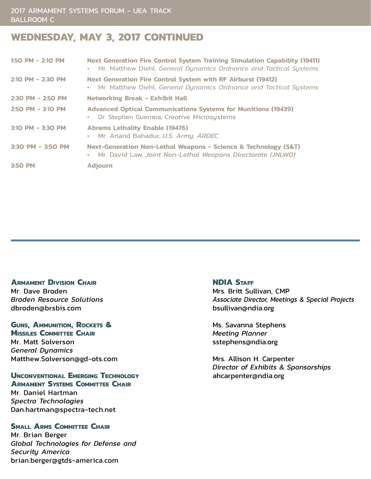## **WEDNESDAY, MAY 3, 2017 CONTINUED**

| $1:50$ PM - 2:10 PM | <b>Next Generation Fire Control System Training Simulation Capability (19411)</b><br>Mr. Matthew Diehl, General Dynamics Ordnance and Tactical Systems<br>$\bullet$ |
|---------------------|---------------------------------------------------------------------------------------------------------------------------------------------------------------------|
| $2:10$ PM - 2:30 PM | <b>Next Generation Fire Control System with RF Airburst (19412)</b><br>Mr. Matthew Diehl, General Dynamics Ordnance and Tactical Systems<br>$\bullet$               |
| 2:30 PM - 2:50 PM   | <b>Networking Break - Exhibit Hall</b>                                                                                                                              |
| $2:50$ PM - 3:10 PM | <b>Advanced Optical Communications Systems for Munitions (19439)</b><br>Dr. Stephen Guerrera, Creative Microsystems<br>$\bullet$                                    |
| $3:10$ PM - 3:30 PM | <b>Abrams Lethality Enable (19476)</b><br>• Mr. Anand Bahadur, U.S. Army, ARDEC                                                                                     |
| 3:30 PM - 3:50 PM   | Next-Generation Non-Lethal Weapons - Science & Technology (S&T)<br>Mr. David Law, Joint Non-Lethal Weapons Directorate (JNLWD)<br>$\bullet$                         |
| 3:50 PM             | <b>Adjourn</b>                                                                                                                                                      |

#### **ARMAMENT DIVISION CHAIR**

Mr. Dave Broden *Broden Resource Solutions* dbroden@brsbis.com

**Guns, Ammunition, Rockets & MISSILES COMMITTEE CHAIR** Mr. Matt Solverson *General Dynamics* 

Matthew.Solverson@gd-ots.com

### **Unconventional Emerging Technology Armament Systems Committee Chair**

Mr. Daniel Hartman *Spectra Technologies* Dan.hartman@spectra-tech.net

### **SMALL ARMS COMMITTEE CHAIR**

Mr. Brian Berger *Global Technologies for Defense and Security America* brian.berger@gtds-america.com

#### **NDIA STAFF**

Mrs. Britt Sullivan, CMP *Associate Director, Meetings & Special Projects* bsullivan@ndia.org

Ms. Savanna Stephens *Meeting Planner* sstephens@ndia.org

Mrs. Allison H. Carpenter *Director of Exhibits & Sponsorships* ahcarpenter@ndia.org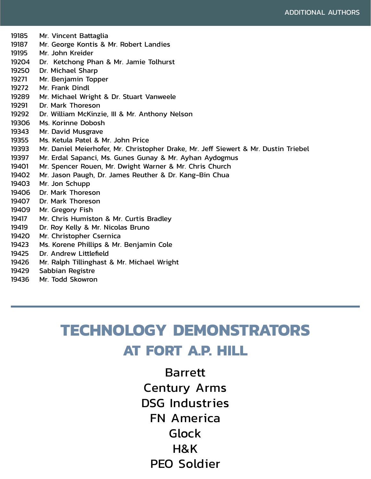19185 Mr. Vincent Battaglia 19187 Mr. George Kontis & Mr. Robert Landies 19195 Mr. John Kreider 19204 Dr. Ketchong Phan & Mr. Jamie Tolhurst 19250 Dr. Michael Sharp 19271 Mr. Benjamin Topper 19272 Mr. Frank Dindl 19289 Mr. Michael Wright & Dr. Stuart Vanweele 19291 Dr. Mark Thoreson 19292 Dr. William McKinzie, III & Mr. Anthony Nelson 19306 Ms. Korinne Dobosh 19343 Mr. David Musgrave 19355 Ms. Ketula Patel & Mr. John Price 19393 Mr. Daniel Meierhofer, Mr. Christopher Drake, Mr. Jeff Siewert & Mr. Dustin Triebel 19397 Mr. Erdal Sapanci, Ms. Gunes Gunay & Mr. Ayhan Aydogmus 19401 Mr. Spencer Rouen, Mr. Dwight Warner & Mr. Chris Church 19402 Mr. Jason Paugh, Dr. James Reuther & Dr. Kang-Bin Chua 19403 Mr. Jon Schupp 19406 Dr. Mark Thoreson 19407 Dr. Mark Thoreson 19409 Mr. Gregory Fish 19417 Mr. Chris Humiston & Mr. Curtis Bradley 19419 Dr. Roy Kelly & Mr. Nicolas Bruno 19420 Mr. Christopher Csernica 19423 Ms. Korene Phillips & Mr. Benjamin Cole 19425 Dr. Andrew Littlefield 19426 Mr. Ralph Tillinghast & Mr. Michael Wright 19429 Sabbian Registre 19436 Mr. Todd Skowron

# **TECHNOLOGY DEMONSTRATORS AT FORT A.P. HILL**

Barrett Century Arms DSG Industries FN America Glock H&K PEO Soldier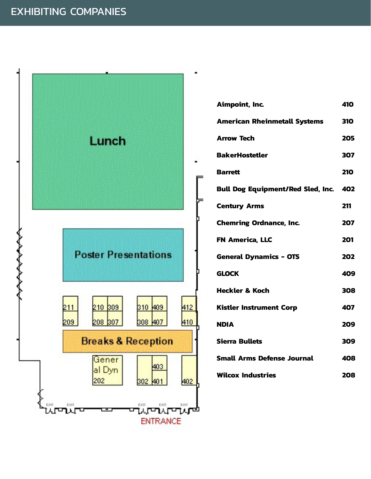

| Aimpoint, Inc.                               |            |
|----------------------------------------------|------------|
| <b>American Rheinmetall Systems</b>          |            |
| <b>Arrow Tech</b>                            |            |
| <b>BakerHostetler</b>                        |            |
| <b>Barrett</b>                               | <b>210</b> |
| <b>Bull Dog Equipment/Red Sled, Inc. 402</b> |            |
| <b>Century Arms</b>                          | 211        |
| <b>Chemring Ordnance, Inc.</b>               | 207        |
| <b>FN America, LLC</b>                       | 201        |
| <b>General Dynamics - OTS</b>                | 202        |
| <b>GLOCK</b>                                 | 409        |
| <b>Heckler &amp; Koch</b>                    | 308        |
| <b>Kistler Instrument Corp</b>               | 407        |
| <b>NDIA</b>                                  | 209        |
| <b>Sierra Bullets</b>                        |            |
| <b>Small Arms Defense Journal</b>            |            |
| <b>Wilcox Industries</b>                     |            |
|                                              |            |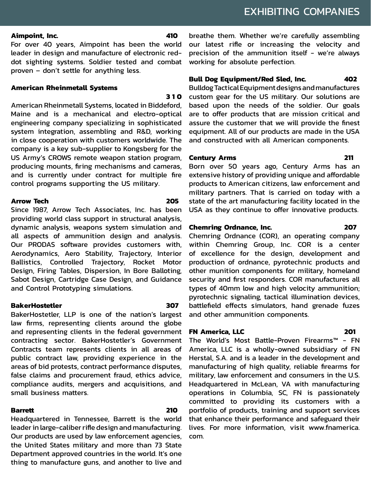#### **Aimpoint, Inc. 410**

For over 40 years, Aimpoint has been the world leader in design and manufacture of electronic reddot sighting systems. Soldier tested and combat proven – don't settle for anything less.

#### **American Rheinmetall Systems**

#### **310**

American Rheinmetall Systems, located in Biddeford, Maine and is a mechanical and electro-optical engineering company specializing in sophisticated system integration, assembling and R&D, working in close cooperation with customers worldwide. The company is a key sub-supplier to Kongsberg for the US Army's CROWS remote weapon station program, producing mounts, firing mechanisms and cameras, and is currently under contract for multiple fire control programs supporting the US military.

#### **Arrow Tech 205**

Since 1987, Arrow Tech Associates, Inc. has been providing world class support in structural analysis, dynamic analysis, weapons system simulation and all aspects of ammunition design and analysis. Our PRODAS software provides customers with, Aerodynamics, Aero Stability, Trajectory, Interior Ballistics, Controlled Trajectory, Rocket Motor Design, Firing Tables, Dispersion, In Bore Balloting, Sabot Design, Cartridge Case Design, and Guidance and Control Prototyping simulations.

#### **BakerHostetler 307**

BakerHostetler, LLP is one of the nation's largest law firms, representing clients around the globe and representing clients in the federal government contracting sector. BakerHostetler's Government Contracts team represents clients in all areas of public contract law, providing experience in the areas of bid protests, contract performance disputes, false claims and procurement fraud, ethics advice, compliance audits, mergers and acquisitions, and small business matters.

### **Barrett 210**

Headquartered in Tennessee, Barrett is the world leader in large-caliber rifle design and manufacturing. Our products are used by law enforcement agencies, the United States military and more than 73 State Department approved countries in the world. It's one thing to manufacture guns, and another to live and

breathe them. Whether we're carefully assembling our latest rifle or increasing the velocity and precision of the ammunition itself - we're always working for absolute perfection.

### **Bull Dog Equipment/Red Sled, Inc. 402**

Bulldog Tactical Equipment designs and manufactures custom gear for the US military. Our solutions are based upon the needs of the soldier. Our goals are to offer products that are mission critical and assure the customer that we will provide the finest equipment. All of our products are made in the USA and constructed with all American components.

### **Century Arms 211**

Born over 50 years ago, Century Arms has an extensive history of providing unique and affordable products to American citizens, law enforcement and military partners. That is carried on today with a state of the art manufacturing facility located in the USA as they continue to offer innovative products.

### **Chemring Ordnance, Inc. 207**

Chemring Ordnance (COR), an operating company within Chemring Group, Inc. COR is a center of excellence for the design, development and production of ordnance, pyrotechnic products and other munition components for military, homeland security and first responders. COR manufactures all types of 40mm low and high velocity ammunition; pyrotechnic signaling, tactical illumination devices, battlefield effects simulators, hand grenade fuzes and other ammunition components.

### **FN America, LLC 201**

The World's Most Battle-Proven Firearms™ - FN America, LLC is a wholly-owned subsidiary of FN Herstal, S.A. and is a leader in the development and manufacturing of high quality, reliable firearms for military, law enforcement and consumers in the U.S. Headquartered in McLean, VA with manufacturing operations in Columbia, SC, FN is passionately committed to providing its customers with a portfolio of products, training and support services that enhance their performance and safeguard their lives. For more information, visit www.fnamerica. com.